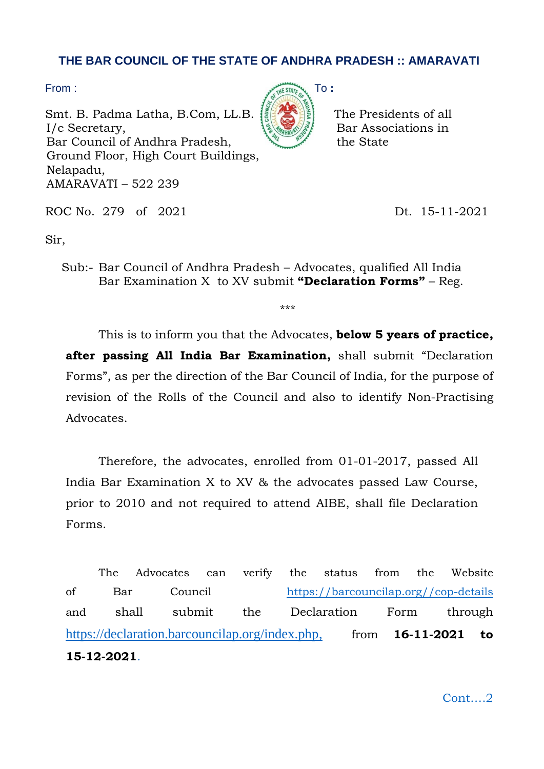## **THE BAR COUNCIL OF THE STATE OF ANDHRA PRADESH :: AMARAVATI**

Smt. B. Padma Latha, B.Com, LL.B.  $\left| \frac{1}{2} \right| \left| \frac{1}{2} \right|$  The Presidents of all  $I/c$  Secretary,  $\{S_{\text{Wann}}\}_{\text{S}}\}$  Bar Associations in Bar Council of Andhra Pradesh, the State Ground Floor, High Court Buildings, Nelapadu, AMARAVATI – 522 239



ROC No. 279 of 2021 Dt. 15-11-2021

Sir,

Sub:- Bar Council of Andhra Pradesh – Advocates, qualified All India Bar Examination X to XV submit **"Declaration Forms"** – Reg.

\*\*\*

This is to inform you that the Advocates, **below 5 years of practice, after passing All India Bar Examination,** shall submit "Declaration Forms", as per the direction of the Bar Council of India, for the purpose of revision of the Rolls of the Council and also to identify Non-Practising **Advocates** 

Therefore, the advocates, enrolled from 01-01-2017, passed All India Bar Examination X to XV & the advocates passed Law Course, prior to 2010 and not required to attend AIBE, shall file Declaration Forms.

The Advocates can verify the status from the Website of Bar Council [https://barcouncilap.org//cop-details](https://barcouncilap.org/cop-details) and shall submit the Declaration Form through https://declaration.barcouncilap.org/index.php. from **16-11-2021 to 15-12-2021**.

Cont….2